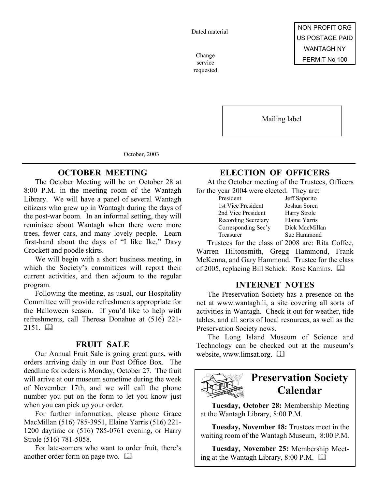Dated material

service requested

Mailing label

October, 2003

## **OCTOBER MEETING**

The October Meeting will be on October 28 at 8:00 P.M. in the meeting room of the Wantagh Library. We will have a panel of several Wantagh citizens who grew up in Wantagh during the days of the post-war boom. In an informal setting, they will reminisce about Wantagh when there were more trees, fewer cars, and many lovely people. Learn first-hand about the days of "I like Ike," Davy Crockett and poodle skirts.

We will begin with a short business meeting, in which the Society's committees will report their current activities, and then adjourn to the regular program.

Following the meeting, as usual, our Hospitality Committee will provide refreshments appropriate for the Halloween season. If you'd like to help with refreshments, call Theresa Donahue at (516) 221-  $2151$   $\Box$ 

### **FRUIT SALE**

Our Annual Fruit Sale is going great guns, with orders arriving daily in our Post Office Box. The deadline for orders is Monday, October 27. The fruit will arrive at our museum sometime during the week of November 17th, and we will call the phone number you put on the form to let you know just when you can pick up your order.

For further information, please phone Grace MacMillan (516) 785-3951, Elaine Yarris (516) 221- 1200 daytime or (516) 785-0761 evening, or Harry Strole (516) 781-5058.

For late-comers who want to order fruit, there's another order form on page two. 

# **ELECTION OF OFFICERS**

At the October meeting of the Trustees, Officers for the year 2004 were elected. They are:

| President           | Jeff Saporito  |
|---------------------|----------------|
| 1st Vice President  | Joshua Soren   |
| 2nd Vice President  | Harry Strole   |
| Recording Secretary | Elaine Yarris  |
| Corresponding Sec'y | Dick MacMillan |
| Treasurer           | Sue Hammond    |
|                     |                |

Trustees for the class of 2008 are: Rita Coffee, Warren Hiltonsmith, Gregg Hammond, Frank McKenna, and Gary Hammond. Trustee for the class of 2005, replacing Bill Schick: Rose Kamins. 

### **INTERNET NOTES**

The Preservation Society has a presence on the net at www.wantagh.li, a site covering all sorts of activities in Wantagh. Check it out for weather, tide tables, and all sorts of local resources, as well as the Preservation Society news.

The Long Island Museum of Science and Technology can be checked out at the museum's website, www.limsat.org. 



# **Preservation Society Calendar**

**Tuesday, October 28:** Membership Meeting at the Wantagh Library, 8:00 P.M.

**Tuesday, November 18:** Trustees meet in the waiting room of the Wantagh Museum, 8:00 P.M.

**Tuesday, November 25:** Membership Meeting at the Wantagh Library, 8:00 P.M.